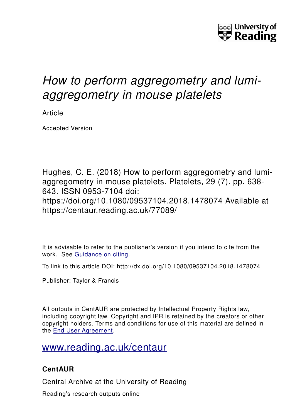

# *How to perform aggregometry and lumiaggregometry in mouse platelets*

Article

Accepted Version

Hughes, C. E. (2018) How to perform aggregometry and lumiaggregometry in mouse platelets. Platelets, 29 (7), pp. 638-643. ISSN 0953-7104 doi: https://doi.org/10.1080/09537104.2018.1478074 Available at https://centaur.reading.ac.uk/77089/

It is advisable to refer to the publisher's version if you intend to cite from the work. See [Guidance on citing.](http://centaur.reading.ac.uk/71187/10/CentAUR%20citing%20guide.pdf)

To link to this article DOI: http://dx.doi.org/10.1080/09537104.2018.1478074

Publisher: Taylor & Francis

All outputs in CentAUR are protected by Intellectual Property Rights law, including copyright law. Copyright and IPR is retained by the creators or other copyright holders. Terms and conditions for use of this material are defined in the [End User Agreement.](http://centaur.reading.ac.uk/licence)

## [www.reading.ac.uk/centaur](http://www.reading.ac.uk/centaur)

### **CentAUR**

Central Archive at the University of Reading

Reading's research outputs online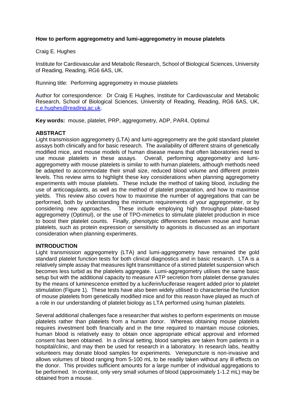#### **How to perform aggregometry and lumi-aggregometry in mouse platelets**

#### Craig E. Hughes

Institute for Cardiovascular and Metabolic Research, School of Biological Sciences, University of Reading, Reading, RG6 6AS, UK.

Running title: Performing aggregometry in mouse platelets

Author for correspondence: Dr Craig E Hughes, Institute for Cardiovascular and Metabolic Research, School of Biological Sciences, University of Reading, Reading, RG6 6AS, UK, [c.e.hughes@reading.ac.uk.](mailto:c.e.hughes@reading.ac.uk)

**Key words:** mouse, platelet, PRP, aggregometry, ADP, PAR4, Optimul

#### **ABSTRACT**

Light transmission aggregometry (LTA) and lumi-aggregometry are the gold standard platelet assays both clinically and for basic research. The availability of different strains of genetically modified mice, and mouse models of human disease means that often laboratories need to use mouse platelets in these assays. Overall, performing aggregometry and lumiaggregometry with mouse platelets is similar to with human platelets, although methods need be adapted to accommodate their small size, reduced blood volume and different protein levels. This review aims to highlight these key considerations when planning aggregometry experiments with mouse platelets. These include the method of taking blood, including the use of anticoagulants, as well as the method of platelet preparation, and how to maximise yields. This review also covers how to maximise the number of aggregations that can be performed, both by understanding the minimum requirements of your aggregometer, or by considering new approaches. These include employing high throughput plate-based aggregometry (Optimul), or the use of TPO-mimetics to stimulate platelet production in mice to boost their platelet counts. Finally, phenotypic differences between mouse and human platelets, such as protein expression or sensitivity to agonists is discussed as an important consideration when planning experiments.

#### **INTRODUCTION**

Light transmission aggregometry (LTA) and lumi-aggregometry have remained the gold standard platelet function tests for both clinical diagnostics and in basic research. LTA is a relatively simple assay that measures light transmittance of a stirred platelet suspension which becomes less turbid as the platelets aggregate. Lumi-aggregometry utilises the same basic setup but with the additional capacity to measure ATP secretion from platelet dense granules by the means of luminescence emitted by a luciferin/luciferase reagent added prior to platelet stimulation (Figure 1). These tests have also been widely utilised to characterise the function of mouse platelets from genetically modified mice and for this reason have played as much of a role in our understanding of platelet biology as LTA performed using human platelets.

Several additional challenges face a researcher that wishes to perform experiments on mouse platelets rather than platelets from a human donor. Whereas obtaining mouse platelets requires investment both financially and in the time required to maintain mouse colonies, human blood is relatively easy to obtain once appropriate ethical approval and informed consent has been obtained. In a clinical setting, blood samples are taken from patients in a hospital/clinic, and may then be used for research in a laboratory. In research labs, healthy volunteers may donate blood samples for experiments. Venepuncture is non-invasive and allows volumes of blood ranging from 5-100 mL to be readily taken without any ill effects on the donor. This provides sufficient amounts for a large number of individual aggregations to be performed. In contrast, only very small volumes of blood (approximately 1-1.2 mL) may be obtained from a mouse.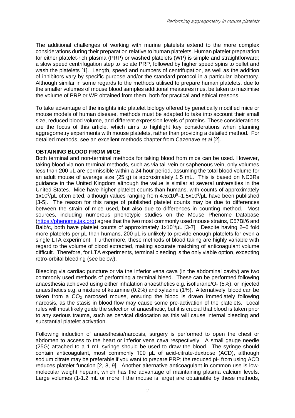The additional challenges of working with murine platelets extend to the more complex considerations during their preparation relative to human platelets. Human platelet preparation for either platelet-rich plasma (PRP) or washed platelets (WP) is simple and straightforward; a slow speed centrifugation step to isolate PRP, followed by higher speed spins to pellet and wash the platelets [1]. Length, speed and numbers of centrifugation, as well as the addition of inhibitors vary by specific purpose and/or the standard protocol in a particular laboratory. Although similar in some regards to the methods utilised to prepare human platelets, due to the smaller volumes of mouse blood samples additional measures must be taken to maximise the volume of PRP or WP obtained from them, both for practical and ethical reasons.

To take advantage of the insights into platelet biology offered by genetically modified mice or mouse models of human disease, methods must be adapted to take into account their small size, reduced blood volume, and different expression levels of proteins. These considerations are the focus of this article, which aims to highlight key considerations when planning aggregometry experiments with mouse platelets, rather than providing a detailed method. For detailed methods, see an excellent methods chapter from Cazenave *et al* [2].

#### **OBTAINING BLOOD FROM MICE**

Both terminal and non-terminal methods for taking blood from mice can be used. However, taking blood via non-terminal methods, such as via tail vein or saphenous vein, only volumes less than 200 μL are permissible within a 24 hour period, assuming the total blood volume for an adult mouse of average size (25 g) is approximately 1.5 mL. This is based on NC3Rs guidance in the United Kingdom although the value is similar at several universities in the United States. Mice have higher platelet counts than humans, with counts of approximately 1x10<sup>6</sup>/μL often cited, although values ranging from 4.5x10<sup>5</sup>-1.5x10<sup>6</sup>/μL have been published [3-5]. The reason for this range of published platelet counts may be due to differences between the strain of mice used, but also due to differences in counting method. Most sources, including numerous phenotypic studies on the Mouse Phenome Database [\(https://phenome.jax.org\)](https://phenome.jax.org/) agree that the two most commonly used mouse strains, C57Bl/6 and Balb/c, both have platelet counts of approximately  $1x10^6$ / $\mu$ L [3-7]. Despite having 2–6 fold more platelets per μL than humans, 200 μL is unlikely to provide enough platelets for even a single LTA experiment. Furthermore, these methods of blood taking are highly variable with regard to the volume of blood extracted, making accurate matching of anticoagulant volume difficult. Therefore, for LTA experiments, terminal bleeding is the only viable option, excepting retro-orbital bleeding (see below).

Bleeding via cardiac puncture or via the inferior vena cava (in the abdominal cavity) are two commonly used methods of performing a terminal bleed. These can be performed following anaesthesia achieved using either inhalation anaesthetics e.g. isoflurane/ $O<sub>2</sub>$  (5%), or injected anaesthetics e.g. a mixture of ketamine (0.2%) and xylazine (1%). Alternatively, blood can be taken from a  $CO<sub>2</sub>$  narcosed mouse, ensuring the blood is drawn immediately following narcosis, as the stasis in blood flow may cause some pre-activation of the platelets. Local rules will most likely guide the selection of anaesthetic, but it is crucial that blood is taken prior to any serious trauma, such as cervical dislocation as this will cause internal bleeding and substantial platelet activation.

Following induction of anaesthesia/narcosis, surgery is performed to open the chest or abdomen to access to the heart or inferior vena cava respectively. A small gauge needle (25G) attached to a 1 mL syringe should be used to draw the blood. The syringe should contain anticoagulant, most commonly 100 μL of acid-citrate-dextrose (ACD), although sodium citrate may be preferable if you want to prepare PRP; the reduced pH from using ACD reduces platelet function [2, 8, 9]. Another alternative anticoagulant in common use is lowmolecular weight heparin, which has the advantage of maintaining plasma calcium levels. Large volumes (1-1.2 mL or more if the mouse is large) are obtainable by these methods,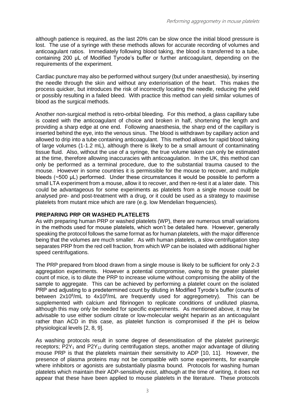although patience is required, as the last 20% can be slow once the initial blood pressure is lost. The use of a syringe with these methods allows for accurate recording of volumes and anticoagulant ratios. Immediately following blood taking, the blood is transferred to a tube, containing 200 μL of Modified Tyrode's buffer or further anticoagulant, depending on the requirements of the experiment.

Cardiac puncture may also be performed without surgery (but under anaesthesia), by inserting the needle through the skin and without any exteriorisation of the heart. This makes the process quicker, but introduces the risk of incorrectly locating the needle, reducing the yield or possibly resulting in a failed bleed. With practice this method can yield similar volumes of blood as the surgical methods.

Another non-surgical method is retro-orbital bleeding. For this method, a glass capillary tube is coated with the anticoagulant of choice and broken in half, shortening the length and providing a sharp edge at one end. Following anaesthesia, the sharp end of the capillary is inserted behind the eye, into the venous sinus. The blood is withdrawn by capillary action and allowed to drip into a tube containing anticoagulant. This method allows for rapid blood taking of large volumes (1-1.2 mL), although there is likely to be a small amount of contaminating tissue fluid. Also, without the use of a syringe, the true volume taken can only be estimated at the time, therefore allowing inaccuracies with anticoagulation. In the UK, this method can only be performed as a terminal procedure, due to the substantial trauma caused to the mouse. However in some countries it is permissible for the mouse to recover, and multiple bleeds (~500 μL) performed. Under these circumstances it would be possible to perform a small LTA experiment from a mouse, allow it to recover, and then re-test it at a later date. This could be advantageous for some experiments as platelets from a single mouse could be analysed pre- and post-treatment with a drug, or it could be used as a strategy to maximise platelets from mutant mice which are rare (e.g. low Mendelian frequencies).

#### **PREPARING PRP OR WASHED PLATELETS**

As with preparing human PRP or washed platelets (WP), there are numerous small variations in the methods used for mouse platelets, which won't be detailed here. However, generally speaking the protocol follows the same format as for human platelets, with the major difference being that the volumes are much smaller. As with human platelets, a slow centrifugation step separates PRP from the red cell fraction, from which WP can be isolated with additional higher speed centrifugations.

The PRP prepared from blood drawn from a single mouse is likely to be sufficient for only 2-3 aggregation experiments. However a potential compromise, owing to the greater platelet count of mice, is to dilute the PRP to increase volume without compromising the ability of the sample to aggregate. This can be achieved by performing a platelet count on the isolated PRP and adjusting to a predetermined count by diluting in Modified Tyrode's buffer (counts of between 2x10<sup>8</sup>/mL to 4x10<sup>8</sup>/mL are frequently used for aggregometry). This can be supplemented with calcium and fibrinogen to replicate conditions of undiluted plasma, although this may only be needed for specific experiments. As mentioned above, it may be advisable to use either sodium citrate or low-molecular weight heparin as an anticoagulant rather than ACD in this case, as platelet function is compromised if the pH is below physiological levels [2, 8, 9].

As washing protocols result in some degree of desensitisation of the platelet purinergic receptors;  $P2Y_1$  and  $P2Y_{12}$  during centrifugation steps, another major advantage of diluting mouse PRP is that the platelets maintain their sensitivity to ADP [10, 11]. However, the presence of plasma proteins may not be compatible with some experiments, for example where inhibitors or agonists are substantially plasma bound. Protocols for washing human platelets which maintain their ADP-sensitivity exist, although at the time of writing, it does not appear that these have been applied to mouse platelets in the literature. These protocols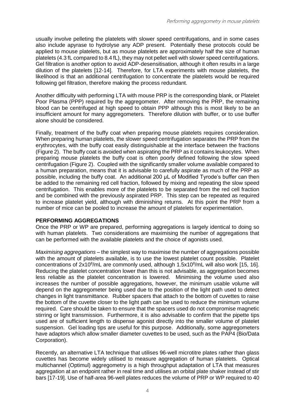usually involve pelleting the platelets with slower speed centrifugations, and in some cases also include apyrase to hydrolyse any ADP present. Potentially these protocols could be applied to mouse platelets, but as mouse platelets are approximately half the size of human platelets (4.3 fL compared to 8.4 fL), they may not pellet well with slower speed centrifugations. Gel filtration is another option to avoid ADP-desensitisation, although it often results in a large dilution of the platelets [12-14]. Therefore, for LTA experiments with mouse platelets, the likelihood is that an additional centrifugation to concentrate the platelets would be required following gel filtration, therefore making the process redundant.

Another difficulty with performing LTA with mouse PRP is the corresponding blank, or Platelet Poor Plasma (PPP) required by the aggregometer. After removing the PRP, the remaining blood can be centrifuged at high speed to obtain PPP although this is most likely to be an insufficient amount for many aggregometers. Therefore dilution with buffer, or to use buffer alone should be considered.

Finally, treatment of the buffy coat when preparing mouse platelets requires consideration. When preparing human platelets, the slower speed centrifugation separates the PRP from the erythrocytes, with the buffy coat easily distinguishable at the interface between the fractions (Figure 2). The buffy coat is avoided when aspirating the PRP as it contains leukocytes. When preparing mouse platelets the buffy coat is often poorly defined following the slow speed centrifugation (Figure 2). Coupled with the significantly smaller volume available compared to a human preparation, means that it is advisable to carefully aspirate as much of the PRP as possible, including the buffy coat. An additional 200 μL of Modified Tyrode's buffer can then be added to the remaining red cell fraction, followed by mixing and repeating the slow speed centrifugation. This enables more of the platelets to be separated from the red cell fraction and be combined with the previously aspirated PRP. This step can be repeated as required to increase platelet yield, although with diminishing returns. At this point the PRP from a number of mice can be pooled to increase the amount of platelets for experimentation.

#### **PERFORMING AGGREGATIONS**

Once the PRP or WP are prepared, performing aggregations is largely identical to doing so with human platelets. Two considerations are maximising the number of aggregations that can be performed with the available platelets and the choice of agonists used.

*Maximising aggregations* – the simplest way to maximise the number of aggregations possible with the amount of platelets available, is to use the lowest platelet count possible. Platelet concentrations of 2x10<sup>8</sup>/mL are commonly used, although 1.5x10<sup>8</sup>/mL will also work [15, 16]. Reducing the platelet concentration lower than this is not advisable, as aggregation becomes less reliable as the platelet concentration is lowered. Minimising the volume used also increases the number of possible aggregations, however, the minimum usable volume will depend on the aggregometer being used due to the position of the light path used to detect changes in light transmittance. Rubber spacers that attach to the bottom of cuvettes to raise the bottom of the cuvette closer to the light path can be used to reduce the minimum volume required. Care should be taken to ensure that the spacers used do not compromise magnetic stirring or light transmission. Furthermore, it is also advisable to confirm that the pipette tips used are of sufficient length to dispense agonist directly into the smaller volume of platelet suspension. Gel loading tips are useful for this purpose. Additionally, some aggregometers have adaptors which allow smaller diameter cuvettes to be used, such as the PAP4 (Bio/Data Corporation).

Recently, an alternative LTA technique that utilises 96-well microtitre plates rather than glass cuvettes has become widely utilised to measure aggregation of human platelets. Optical multichannel (Optimul) aggregometry is a high throughput adaptation of LTA that measures aggregation at an endpoint rather in real time and utilises an orbital plate shaker instead of stir bars [17-19]. Use of half-area 96-well plates reduces the volume of PRP or WP required to 40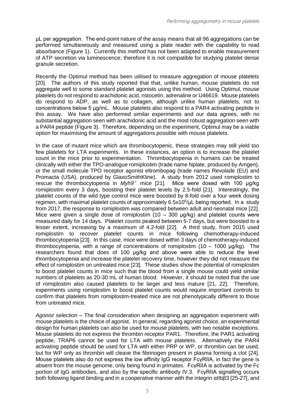μL per aggregation. The end-point nature of the assay means that all 96 aggregations can be performed simultaneously and measured using a plate reader with the capability to read absorbance (Figure 1). Currently this method has not been adapted to enable measurement of ATP secretion via luminescence; therefore it is not compatible for studying platelet dense granule secretion.

Recently the Optimul method has been utilised to measure aggregation of mouse platelets [20]. The authors of this study reported that that, unlike human, mouse platelets do not aggregate well to some standard platelet agonists using this method. Using Optimul, mouse platelets do not respond to arachidonic acid, ristocetin, adrenaline or U46619. Mouse platelets do respond to ADP, as well as to collagen, although unlike human platelets, not to concentrations below 5 μg/mL. Mouse platelets also respond to a PAR4 activating peptide in this assay. We have also performed similar experiments and our data agrees, with no substantial aggregation seen with arachidonic acid and the most robust aggregation seen with a PAR4 peptide (Figure 3). Therefore, depending on the experiment, Optimul may be a viable option for maximising the amount of aggregations possible with mouse platelets.

In the case of mutant mice which are thrombocytopenic, these strategies may still yield too few platelets for LTA experiments. In these instances, an option is to increase the platelet count in the mice prior to experimentation. Thrombocytopenia in humans can be treated clinically with either the TPO-analogue romiplostim (trade name Nplate, produced by Amgen), or the small molecule TPO receptor agonist eltrombopag (trade names Revolade (EU) and Promacta (USA), produced by GlaxoSmithKline). A study from 2012 used romiplostim to rescue the thrombocytopenia in *Myh9<sup>-/-</sup>* mice [21]. Mice were dosed with 100 μg/kg romiplostim every 3 days, boosting their platelet levels by 2.5-fold [21]. Interestingly, the platelet counts of the wild type control mice were boosted by 8-fold over a four week dosing regimen, with maximal platelet counts of approximately 6.5x10<sup>6</sup>/μL being reported. In a study from 2017, the response to romiplostim was compared between adult and neonatal mice [22]. Mice were given a single dose of romiplostim  $(10 - 300 \mu\text{kg})$  and platelet counts were measured daily for 14 days. Platelet counts peaked between 5-7 days, but were boosted to a lesser extent, increasing by a maximum of 4.2-fold [22]. A third study, from 2015 used romiplostim to recover platelet counts in mice following chemotherapy-induced thrombocytopenia [23]. In this case, mice were dosed within 3 days of chemotherapy-induced thrombocytopenia, with a range of concentrations of romiplostim (10 – 1000 μg/kg). The researchers found that does of 100 μg/kg and above were able to reduce the level thrombocytopenia and increase the platelet recovery time, however they did not measure the effect of romiplostim on untreated mice [23]. These studies show the potential of romiplostim to boost platelet counts in mice such that the blood from a single mouse could yield similar numbers of platelets as 20-30 mL of human blood. However, it should be noted that the use of romiplostim also caused platelets to be larger and less mature [21, 22]. Therefore, experiments using romiplostim to boost platelet counts would require important controls to confirm that platelets from romiplostim-treated mice are not phenotypically different to those from untreated mice.

*Agonist selection* – The final consideration when designing an aggregation experiment with mouse platelets is the choice of agonist. In general, regarding agonist choice, an experimental design for human platelets can also be used for mouse platelets, with two notable exceptions. Mouse platelets do not express the thrombin receptor PAR1. Therefore, the PAR1 activating peptide, TRAP6 cannot be used for LTA with mouse platelets. Alternatively the PAR4 activating peptide should be used for LTA with either PRP or WP, or thrombin can be used, but for WP only as thrombin will cleave the fibrinogen present in plasma forming a clot [24]. Mouse platelets also do not express the low affinity IgG receptor FcγRIIA, in fact the gene is absent from the mouse genome, only being found in primates. FcγRIIA is activated by the Fc portion of IgG antibodies, and also by the specific antibody IV.3. FcγRIIA signalling occurs both following ligand binding and in a cooperative manner with the integrin αIIbβ3 [25-27], and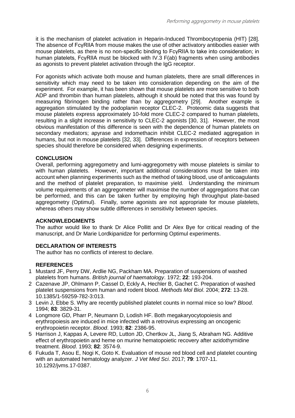it is the mechanism of platelet activation in Heparin-Induced Thrombocytopenia (HIT) [28]. The absence of FcγRIIA from mouse makes the use of other activatory antibodies easier with mouse platelets, as there is no non-specific binding to FcγRIIA to take into consideration; in human platelets, FcγRIIA must be blocked with IV.3 F(ab) fragments when using antibodies as agonists to prevent platelet activation through the IgG receptor.

For agonists which activate both mouse and human platelets, there are small differences in sensitivity which may need to be taken into consideration depending on the aim of the experiment. For example, it has been shown that mouse platelets are more sensitive to both ADP and thrombin than human platelets, although it should be noted that this was found by measuring fibrinogen binding rather than by aggregometry [29]. Another example is aggregation stimulated by the podoplanin receptor CLEC-2. Proteomic data suggests that mouse platelets express approximately 10-fold more CLEC-2 compared to human platelets, resulting in a slight increase in sensitivity to CLEC-2 agonists [30, 31]. However, the most obvious manifestation of this difference is seen with the dependence of human platelets on secondary mediators; apyrase and indomethacin inhibit CLEC-2 mediated aggregation in humans, but not in mouse platelets [32, 33]. Differences in expression of receptors between species should therefore be considered when designing experiments.

#### **CONCLUSION**

Overall, performing aggregometry and lumi-aggregometry with mouse platelets is similar to with human platelets. However, important additional considerations must be taken into account when planning experiments such as the method of taking blood, use of anticoagulants and the method of platelet preparation, to maximise yield. Understanding the minimum volume requirements of an aggregometer will maximise the number of aggregations that can be performed, and this can be taken further by employing high throughput plate-based aggregometry (Optimul). Finally, some agonists are not appropriate for mouse platelets, whereas others may show subtle differences in sensitivity between species.

#### **ACKNOWLEDGMENTS**

The author would like to thank Dr Alice Pollitt and Dr Alex Bye for critical reading of the manuscript, and Dr Marie Lordkipanidze for performing Optimul experiments.

#### **DECLARATION OF INTERESTS**

The author has no conflicts of interest to declare.

#### **REFERENCES**

- 1 Mustard JF, Perry DW, Ardlie NG, Packham MA. Preparation of suspensions of washed platelets from humans. *British journal of haematology*. 1972; **22**: 193-204.
- 2 Cazenave JP, Ohlmann P, Cassel D, Eckly A, Hechler B, Gachet C. Preparation of washed platelet suspensions from human and rodent blood. *Methods Mol Biol*. 2004; **272**: 13-28. 10.1385/1-59259-782-3:013.
- 3 Levin J, Ebbe S. Why are recently published platelet counts in normal mice so low? *Blood*. 1994; **83**: 3829-31.
- 4 Longmore GD, Pharr P, Neumann D, Lodish HF. Both megakaryocytopoiesis and erythropoiesis are induced in mice infected with a retrovirus expressing an oncogenic erythropoietin receptor. *Blood*. 1993; **82**: 2386-95.
- 5 Harrison J, Kappas A, Levere RD, Lutton JD, Chertkov JL, Jiang S, Abraham NG. Additive effect of erythropoietin and heme on murine hematopoietic recovery after azidothymidine treatment. *Blood*. 1993; **82**: 3574-9.
- 6 Fukuda T, Asou E, Nogi K, Goto K. Evaluation of mouse red blood cell and platelet counting with an automated hematology analyzer. *J Vet Med Sci*. 2017; **79**: 1707-11. 10.1292/jvms.17-0387.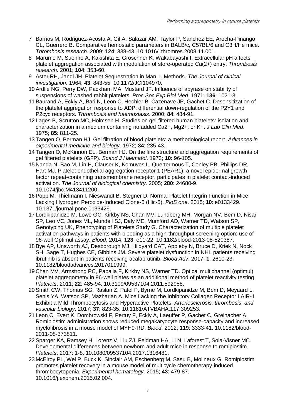- 7 Barrios M, Rodriguez-Acosta A, Gil A, Salazar AM, Taylor P, Sanchez EE, Arocha-Pinango CL, Guerrero B. Comparative hemostatic parameters in BALB/c, C57BL/6 and C3H/He mice. *Thrombosis research*. 2009; **124**: 338-43. 10.1016/j.thromres.2008.11.001.
- 8 Marumo M, Suehiro A, Kakishita E, Groschner K, Wakabayashi I. Extracellular pH affects platelet aggregation associated with modulation of store-operated Ca(2+) entry. *Thrombosis research*. 2001; **104**: 353-60.
- 9 Aster RH, Jandl JH. Platelet Sequestration in Man. I. Methods. *The Journal of clinical investigation*. 1964; **43**: 843-55. 10.1172/JCI104970.
- 10 Ardlie NG, Perry DW, Packham MA, Mustard JF. Influence of apyrase on stability of suspensions of washed rabbit platelets. *Proc Soc Exp Biol Med*. 1971; **136**: 1021-3.
- 11 Baurand A, Eckly A, Bari N, Leon C, Hechler B, Cazenave JP, Gachet C. Desensitization of the platelet aggregation response to ADP: differential down-regulation of the P2Y1 and P2cyc receptors. *Thrombosis and haemostasis*. 2000; **84**: 484-91.
- 12 Lages B, Scrutton MC, Holmsen H. Studies on gel-filtered human platelets: isolation and characterization in a medium containing no added Ca2+, Mg2+, or K+. *J Lab Clin Med*. 1975; **85**: 811-25.
- 13 Tangen O, Berman HJ. Gel filtration of blood platelets: a methodological report. *Advances in experimental medicine and biology*. 1972; **34**: 235-43.
- 14 Tangen O, McKinnon EL, Berman HJ. On the fine structure and aggregation requirements of gel filtered platelets (GFP). *Scand J Haematol*. 1973; **10**: 96-105.
- 15 Nanda N, Bao M, Lin H, Clauser K, Komuves L, Quertermous T, Conley PB, Phillips DR, Hart MJ. Platelet endothelial aggregation receptor 1 (PEAR1), a novel epidermal growth factor repeat-containing transmembrane receptor, participates in platelet contact-induced activation. *The Journal of biological chemistry*. 2005; **280**: 24680-9. 10.1074/jbc.M413411200.
- 16 Popp M, Thielmann I, Nieswandt B, Stegner D. Normal Platelet Integrin Function in Mice Lacking Hydrogen Peroxide-Induced Clone-5 (Hic-5). *PloS one*. 2015; **10**: e0133429. 10.1371/journal.pone.0133429.
- 17 Lordkipanidze M, Lowe GC, Kirkby NS, Chan MV, Lundberg MH, Morgan NV, Bem D, Nisar SP, Leo VC, Jones ML, Mundell SJ, Daly ME, Mumford AD, Warner TD, Watson SP, Genotyping UK, Phenotyping of Platelets Study G. Characterization of multiple platelet activation pathways in patients with bleeding as a high-throughput screening option: use of 96-well Optimul assay. *Blood*. 2014; **123**: e11-22. 10.1182/blood-2013-08-520387.
- 18 Bye AP, Unsworth AJ, Desborough MJ, Hildyard CAT, Appleby N, Bruce D, Kriek N, Nock SH, Sage T, Hughes CE, Gibbins JM. Severe platelet dysfunction in NHL patients receiving ibrutinib is absent in patients receiving acalabrutinib. *Blood Adv*. 2017; **1**: 2610-23. 10.1182/bloodadvances.2017011999.
- 19 Chan MV, Armstrong PC, Papalia F, Kirkby NS, Warner TD. Optical multichannel (optimul) platelet aggregometry in 96-well plates as an additional method of platelet reactivity testing. *Platelets*. 2011; **22**: 485-94. 10.3109/09537104.2011.592958.
- 20 Smith CW, Thomas SG, Raslan Z, Patel P, Byrne M, Lordkipanidze M, Bem D, Meyaard L, Senis YA, Watson SP, Mazharian A. Mice Lacking the Inhibitory Collagen Receptor LAIR-1 Exhibit a Mild Thrombocytosis and Hyperactive Platelets. *Arteriosclerosis, thrombosis, and vascular biology*. 2017; **37**: 823-35. 10.1161/ATVBAHA.117.309253.
- 21 Leon C, Evert K, Dombrowski F, Pertuy F, Eckly A, Laeuffer P, Gachet C, Greinacher A. Romiplostim administration shows reduced megakaryocyte response-capacity and increased myelofibrosis in a mouse model of MYH9-RD. *Blood*. 2012; **119**: 3333-41. 10.1182/blood-2011-08-373811.
- 22 Sparger KA, Ramsey H, Lorenz V, Liu ZJ, Feldman HA, Li N, Laforest T, Sola-Visner MC. Developmental differences between newborn and adult mice in response to romiplostim. *Platelets*. 2017: 1-8. 10.1080/09537104.2017.1316481.
- 23 McElroy PL, Wei P, Buck K, Sinclair AM, Eschenberg M, Sasu B, Molineux G. Romiplostim promotes platelet recovery in a mouse model of multicycle chemotherapy-induced thrombocytopenia. *Experimental hematology*. 2015; **43**: 479-87. 10.1016/j.exphem.2015.02.004.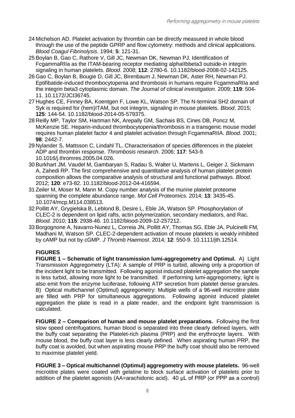- 24 Michelson AD. Platelet activation by thrombin can be directly measured in whole blood through the use of the peptide GPRP and flow cytometry: methods and clinical applications. *Blood Coagul Fibrinolysis*. 1994; **5**: 121-31.
- 25 Boylan B, Gao C, Rathore V, Gill JC, Newman DK, Newman PJ. Identification of FcgammaRIIa as the ITAM-bearing receptor mediating alphaIIbbeta3 outside-in integrin signaling in human platelets. *Blood*. 2008; **112**: 2780-6. 10.1182/blood-2008-02-142125.
- 26 Gao C, Boylan B, Bougie D, Gill JC, Birenbaum J, Newman DK, Aster RH, Newman PJ. Eptifibatide-induced thrombocytopenia and thrombosis in humans require FcgammaRIIa and the integrin beta3 cytoplasmic domain. *The Journal of clinical investigation*. 2009; **119**: 504- 11. 10.1172/JCI36745.
- 27 Hughes CE, Finney BA, Koentgen F, Lowe KL, Watson SP. The N-terminal SH2 domain of Syk is required for (hem)ITAM, but not integrin, signaling in mouse platelets. *Blood*. 2015; **125**: 144-54. 10.1182/blood-2014-05-579375.
- 28 Reilly MP, Taylor SM, Hartman NK, Arepally GM, Sachais BS, Cines DB, Poncz M, McKenzie SE. Heparin-induced thrombocytopenia/thrombosis in a transgenic mouse model requires human platelet factor 4 and platelet activation through FcgammaRIIA. *Blood*. 2001; **98**: 2442-7.
- 29 Nylander S, Mattsson C, Lindahl TL. Characterisation of species differences in the platelet ADP and thrombin response. *Thrombosis research*. 2006; **117**: 543-9. 10.1016/j.thromres.2005.04.026.
- 30 Burkhart JM, Vaudel M, Gambaryan S, Radau S, Walter U, Martens L, Geiger J, Sickmann A, Zahedi RP. The first comprehensive and quantitative analysis of human platelet protein composition allows the comparative analysis of structural and functional pathways. *Blood*. 2012; **120**: e73-82. 10.1182/blood-2012-04-416594.
- 31 Zeiler M, Moser M, Mann M. Copy number analysis of the murine platelet proteome spanning the complete abundance range. *Mol Cell Proteomics*. 2014; **13**: 3435-45. 10.1074/mcp.M114.038513.
- 32 Pollitt AY, Grygielska B, Leblond B, Desire L, Eble JA, Watson SP. Phosphorylation of CLEC-2 is dependent on lipid rafts, actin polymerization, secondary mediators, and Rac. *Blood*. 2010; **115**: 2938-46. 10.1182/blood-2009-12-257212.
- 33 Borgognone A, Navarro-Nunez L, Correia JN, Pollitt AY, Thomas SG, Eble JA, Pulcinelli FM, Madhani M, Watson SP. CLEC-2-dependent activation of mouse platelets is weakly inhibited by cAMP but not by cGMP. *J Thromb Haemost*. 2014; **12**: 550-9. 10.1111/jth.12514.

#### **FIGURES**

**FIGURE 1 – Schematic of light transmission lumi-aggregometry and Optimul.** A) Light Transmission Aggregometry (LTA): A sample of PRP is turbid, allowing only a proportion of the incident light to be transmitted. Following agonist induced platelet aggregation the sample is less turbid, allowing more light to be transmitted. If performing lumi-aggregometry, light is also emit from the enzyme luciferase, following ATP secretion from platelet dense granules. B) Optical multichannel (Optimul) aggregometry: Multiple wells of a 96-well microtitre plate are filled with PRP for simultaneous aggregations. Following agonist induced platelet aggregation the plate is read in a plate reader, and the endpoint light transmission is calculated.

**FIGURE 2 – Comparison of human and mouse platelet preparations.** Following the first slow speed centrifugations, human blood is separated into three clearly defined layers, with the buffy coat separating the Platelet-rich plasma (PRP) and the erythrocyte layers. With mouse blood, the buffy coat layer is less clearly defined. When aspirating human PRP, the buffy coat is avoided, but when aspirating mouse PRP the buffy coat should also be removed to maximise platelet yield.

**FIGURE 3 – Optical multichannel (Optimul) aggregometry with mouse platelets.** 96-well microtitre plates were coated with gelatine to block surface activation of platelets prior to addition of the platelet agonists (AA=arachidonic acid). 40 μL of PRP (or PPP as a control)